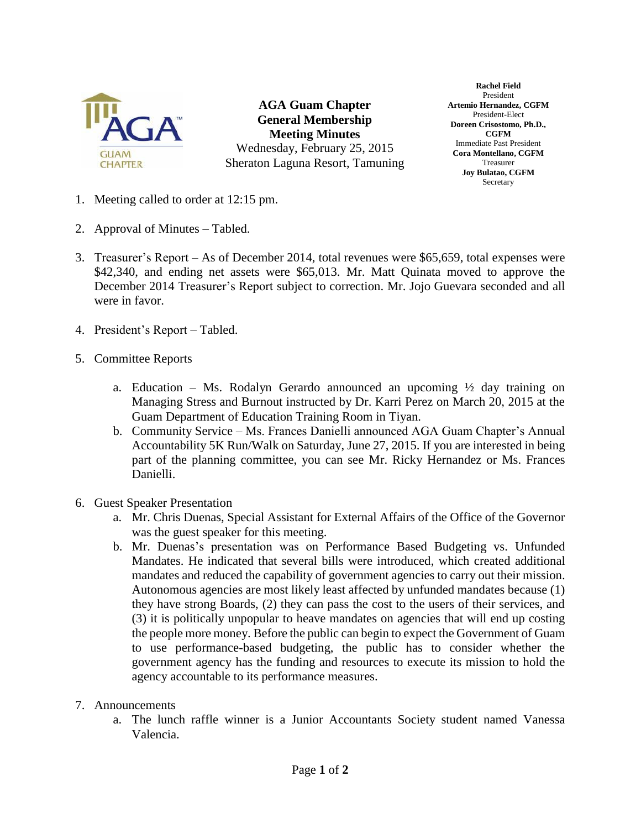

**AGA Guam Chapter General Membership Meeting Minutes** Wednesday, February 25, 2015 Sheraton Laguna Resort, Tamuning

**Rachel Field** President **Artemio Hernandez, CGFM** President-Elect **Doreen Crisostomo, Ph.D., CGFM** Immediate Past President **Cora Montellano, CGFM** Treasurer **Joy Bulatao, CGFM** Secretary

- 1. Meeting called to order at 12:15 pm.
- 2. Approval of Minutes Tabled.
- 3. Treasurer's Report As of December 2014, total revenues were \$65,659, total expenses were \$42,340, and ending net assets were \$65,013. Mr. Matt Quinata moved to approve the December 2014 Treasurer's Report subject to correction. Mr. Jojo Guevara seconded and all were in favor.
- 4. President's Report Tabled.
- 5. Committee Reports
	- a. Education Ms. Rodalyn Gerardo announced an upcoming  $\frac{1}{2}$  day training on Managing Stress and Burnout instructed by Dr. Karri Perez on March 20, 2015 at the Guam Department of Education Training Room in Tiyan.
	- b. Community Service Ms. Frances Danielli announced AGA Guam Chapter's Annual Accountability 5K Run/Walk on Saturday, June 27, 2015. If you are interested in being part of the planning committee, you can see Mr. Ricky Hernandez or Ms. Frances Danielli.
- 6. Guest Speaker Presentation
	- a. Mr. Chris Duenas, Special Assistant for External Affairs of the Office of the Governor was the guest speaker for this meeting.
	- b. Mr. Duenas's presentation was on Performance Based Budgeting vs. Unfunded Mandates. He indicated that several bills were introduced, which created additional mandates and reduced the capability of government agencies to carry out their mission. Autonomous agencies are most likely least affected by unfunded mandates because (1) they have strong Boards, (2) they can pass the cost to the users of their services, and (3) it is politically unpopular to heave mandates on agencies that will end up costing the people more money. Before the public can begin to expect the Government of Guam to use performance-based budgeting, the public has to consider whether the government agency has the funding and resources to execute its mission to hold the agency accountable to its performance measures.
- 7. Announcements
	- a. The lunch raffle winner is a Junior Accountants Society student named Vanessa Valencia.